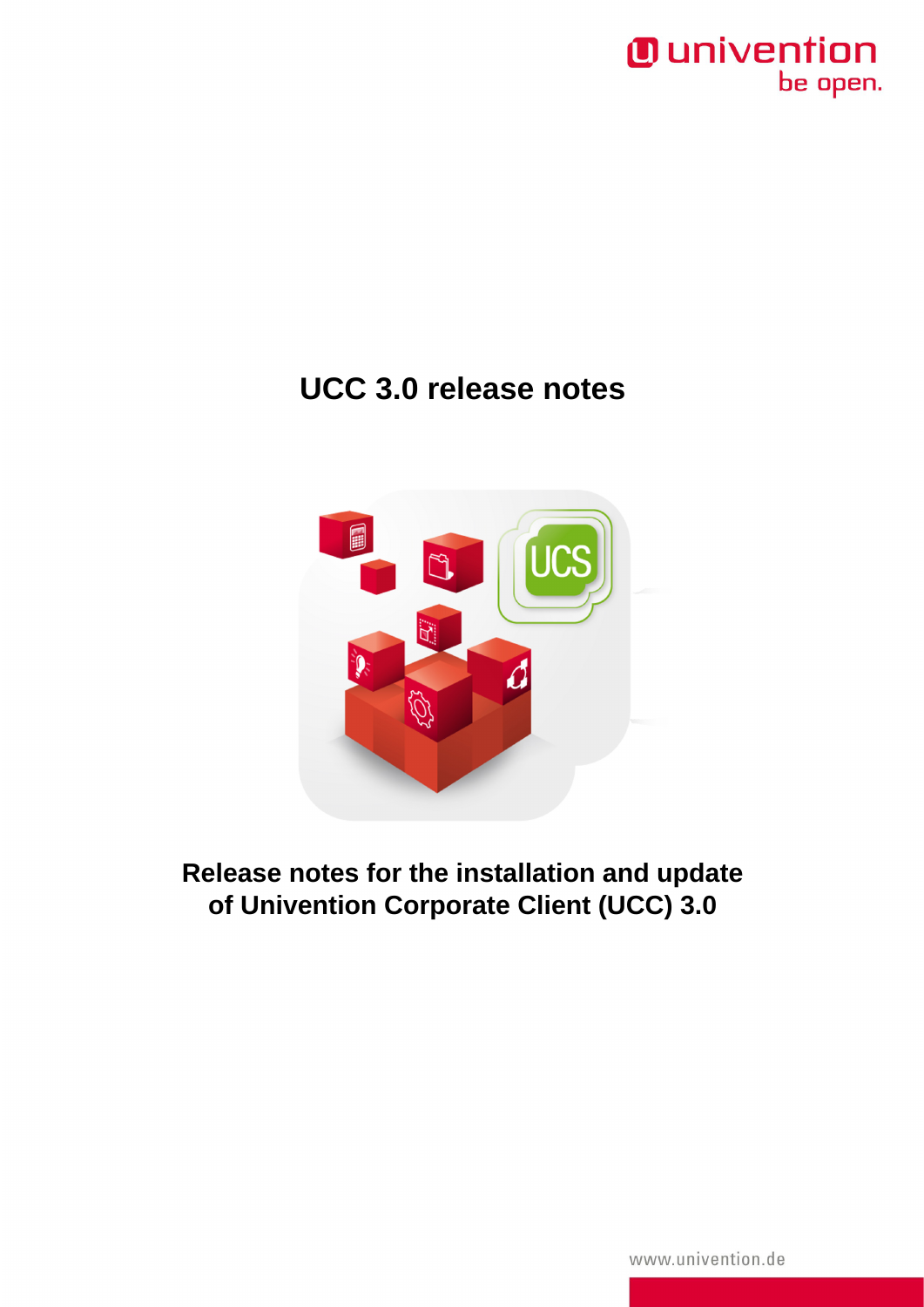

## **UCC 3.0 release notes**



**Release notes for the installation and update of Univention Corporate Client (UCC) 3.0**

www.univention.de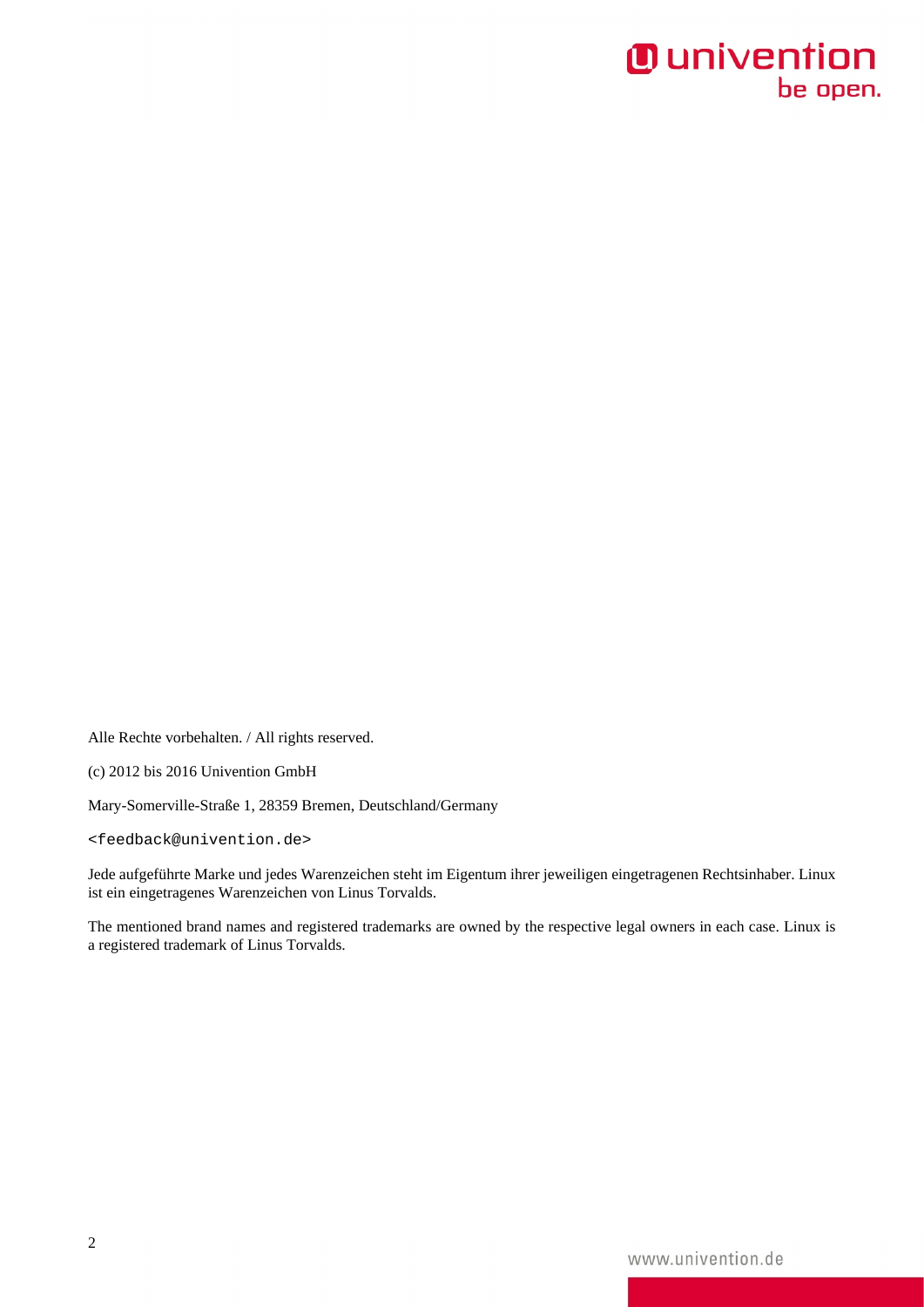Alle Rechte vorbehalten. / All rights reserved.

(c) 2012 bis 2016 Univention GmbH

Mary-Somerville-Straße 1, 28359 Bremen, Deutschland/Germany

<[feedback@univention.de>](mailto:feedback@univention.de)

Jede aufgeführte Marke und jedes Warenzeichen steht im Eigentum ihrer jeweiligen eingetragenen Rechtsinhaber. Linux ist ein eingetragenes Warenzeichen von Linus Torvalds.

The mentioned brand names and registered trademarks are owned by the respective legal owners in each case. Linux is a registered trademark of Linus Torvalds.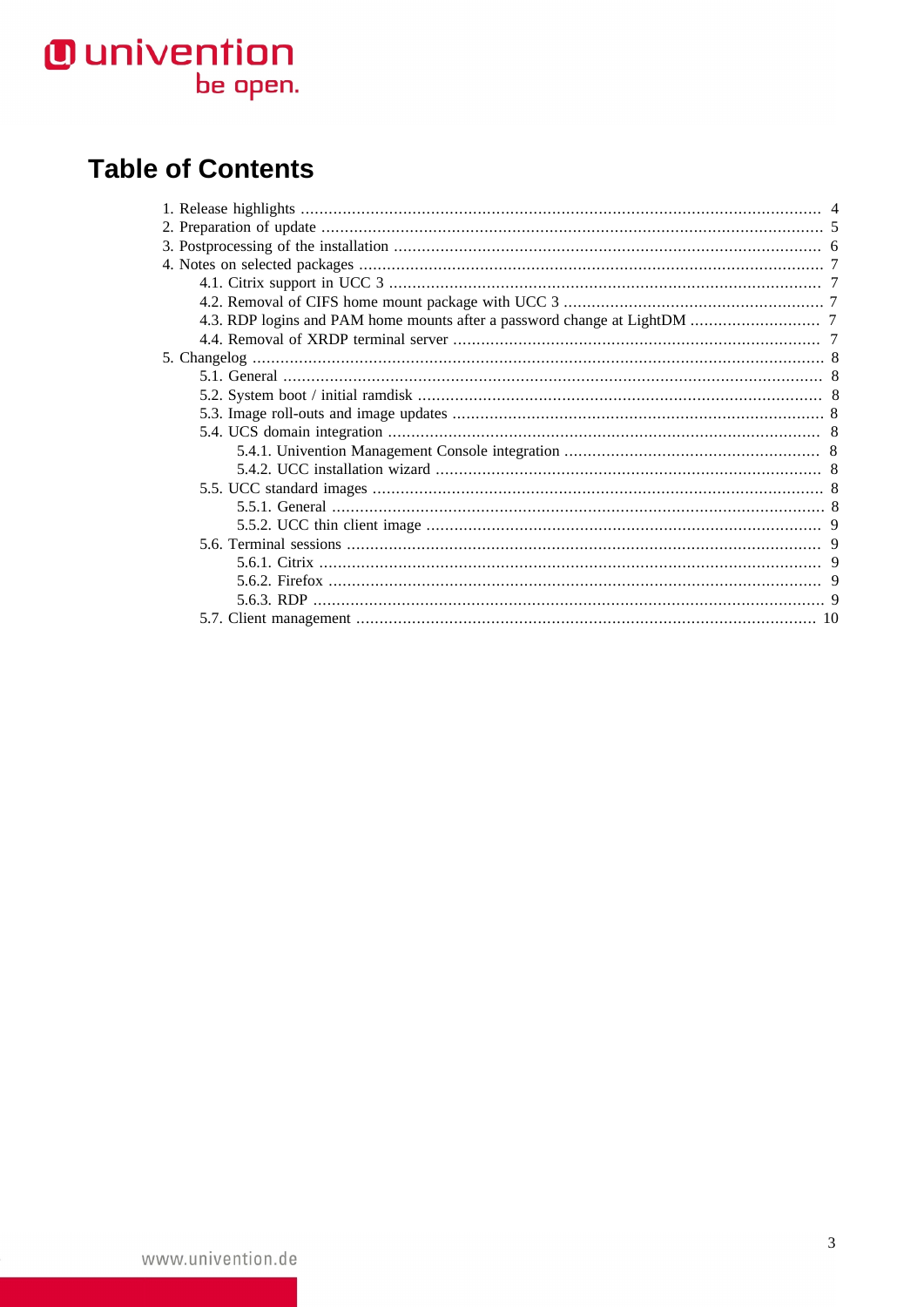### **Table of Contents**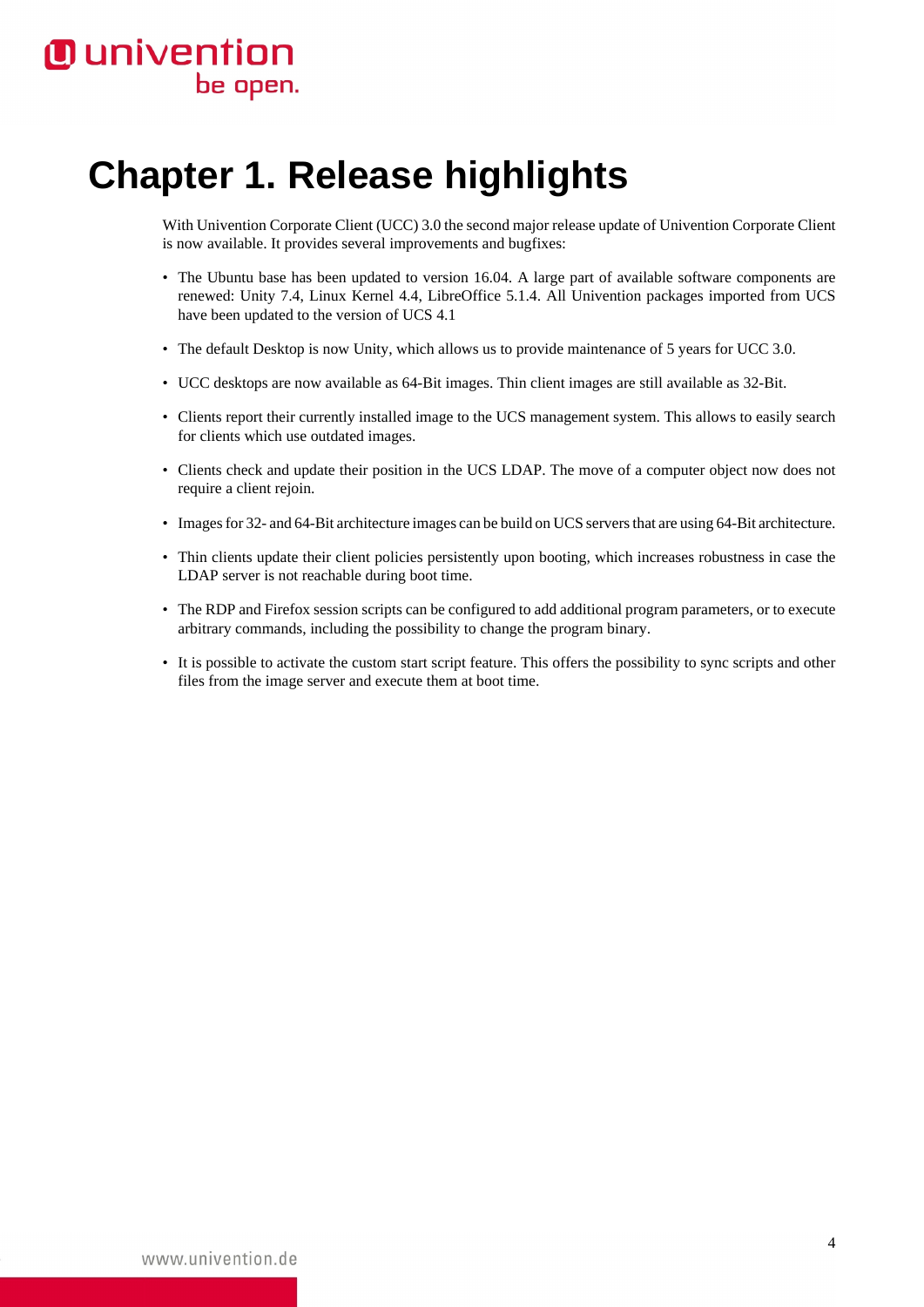# <span id="page-3-0"></span>**Chapter 1. Release highlights**

With Univention Corporate Client (UCC) 3.0 the second major release update of Univention Corporate Client is now available. It provides several improvements and bugfixes:

- The Ubuntu base has been updated to version 16.04. A large part of available software components are renewed: Unity 7.4, Linux Kernel 4.4, LibreOffice 5.1.4. All Univention packages imported from UCS have been updated to the version of UCS 4.1
- The default Desktop is now Unity, which allows us to provide maintenance of 5 years for UCC 3.0.
- UCC desktops are now available as 64-Bit images. Thin client images are still available as 32-Bit.
- Clients report their currently installed image to the UCS management system. This allows to easily search for clients which use outdated images.
- Clients check and update their position in the UCS LDAP. The move of a computer object now does not require a client rejoin.
- Images for 32- and 64-Bit architecture images can be build on UCS servers that are using 64-Bit architecture.
- Thin clients update their client policies persistently upon booting, which increases robustness in case the LDAP server is not reachable during boot time.
- The RDP and Firefox session scripts can be configured to add additional program parameters, or to execute arbitrary commands, including the possibility to change the program binary.
- It is possible to activate the custom start script feature. This offers the possibility to sync scripts and other files from the image server and execute them at boot time.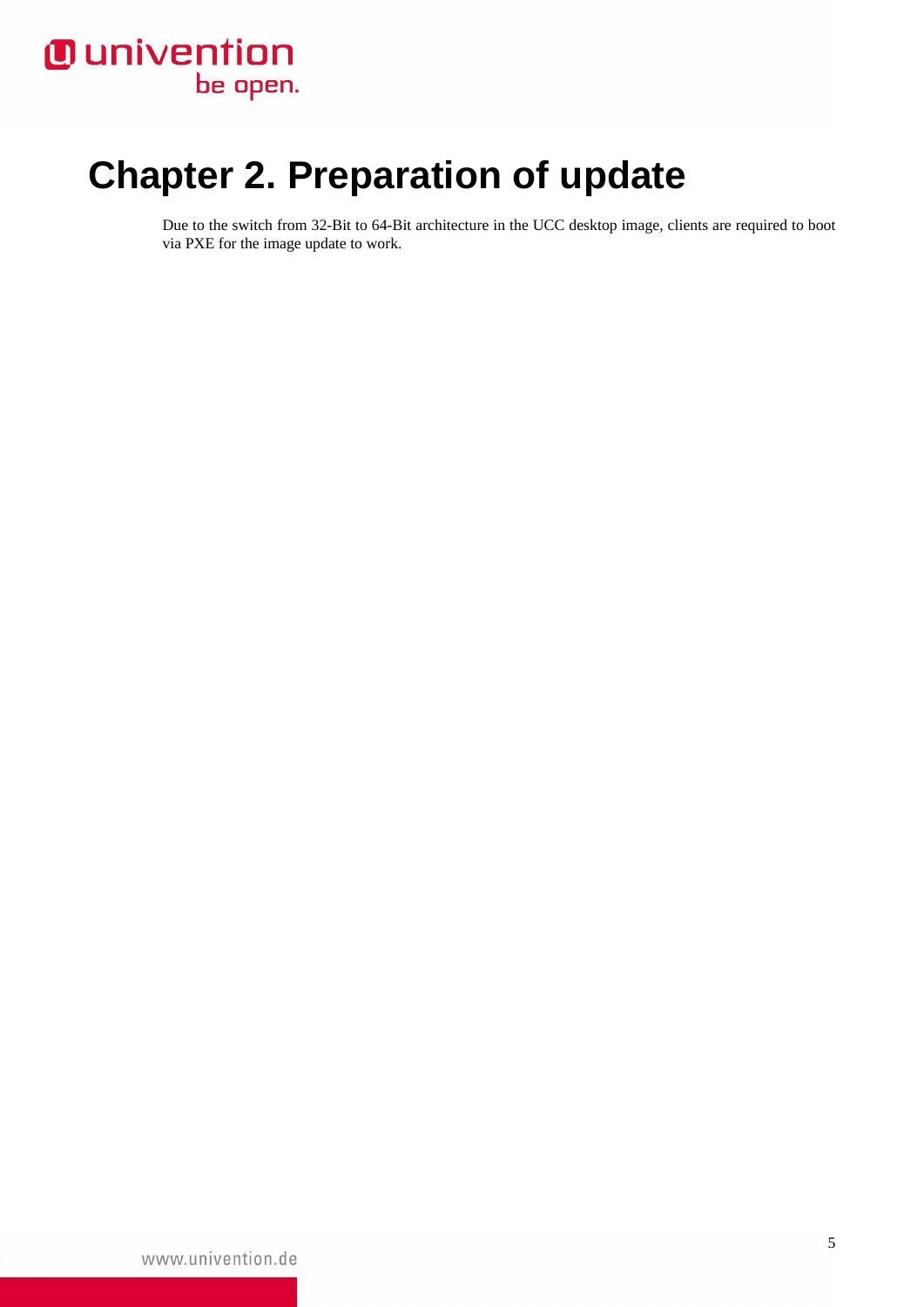# <span id="page-4-0"></span>**Chapter 2. Preparation of update**

Due to the switch from 32-Bit to 64-Bit architecture in the UCC desktop image, clients are required to boot via PXE for the image update to work.

www.univention.de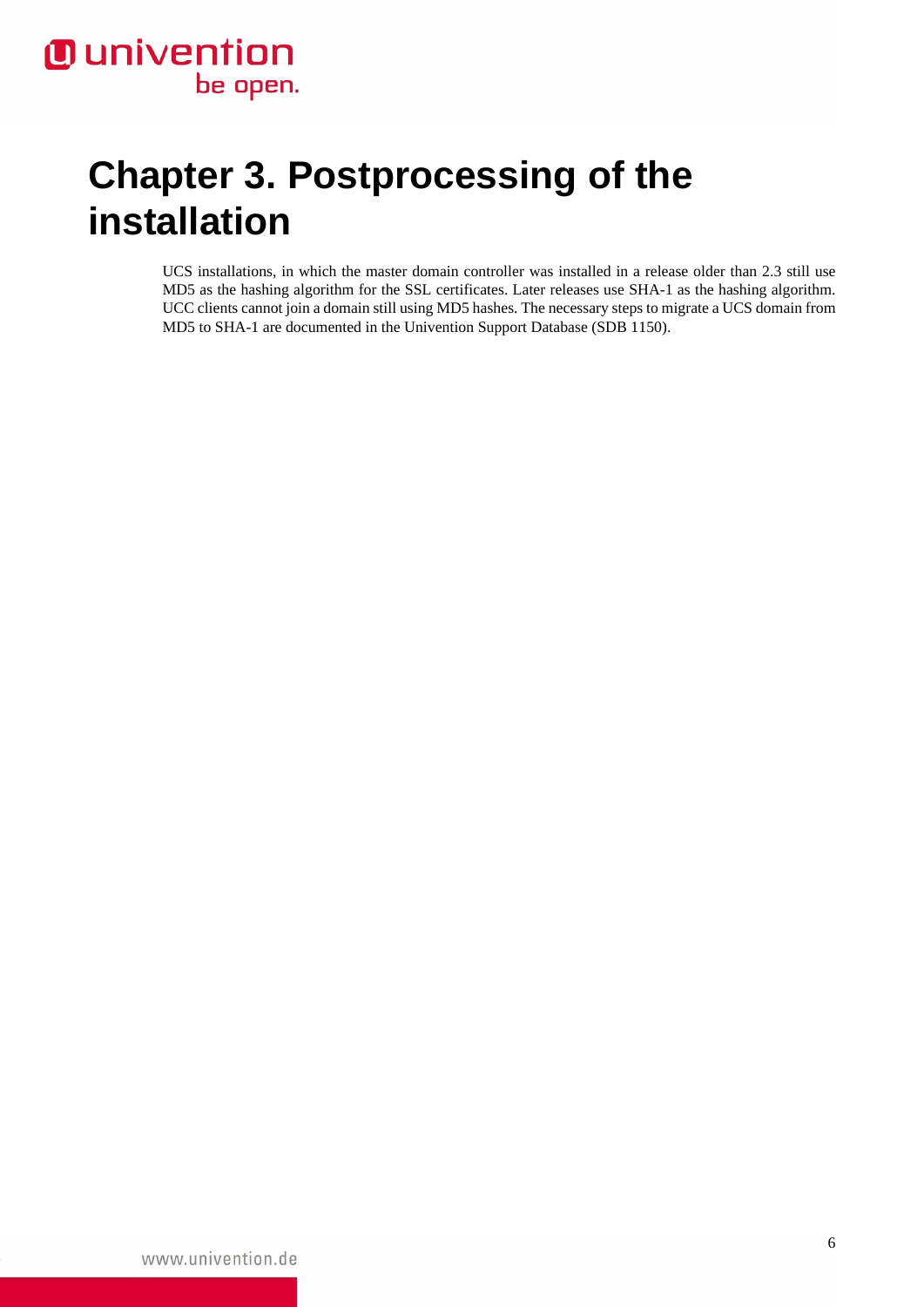# <span id="page-5-0"></span>**Chapter 3. Postprocessing of the installation**

UCS installations, in which the master domain controller was installed in a release older than 2.3 still use MD5 as the hashing algorithm for the SSL certificates. Later releases use SHA-1 as the hashing algorithm. UCC clients cannot join a domain still using MD5 hashes. The necessary steps to migrate a UCS domain from MD5 to SHA-1 are documented in the Univention Support Database ([SDB 1150\)](http://sdb.univention.de/1150).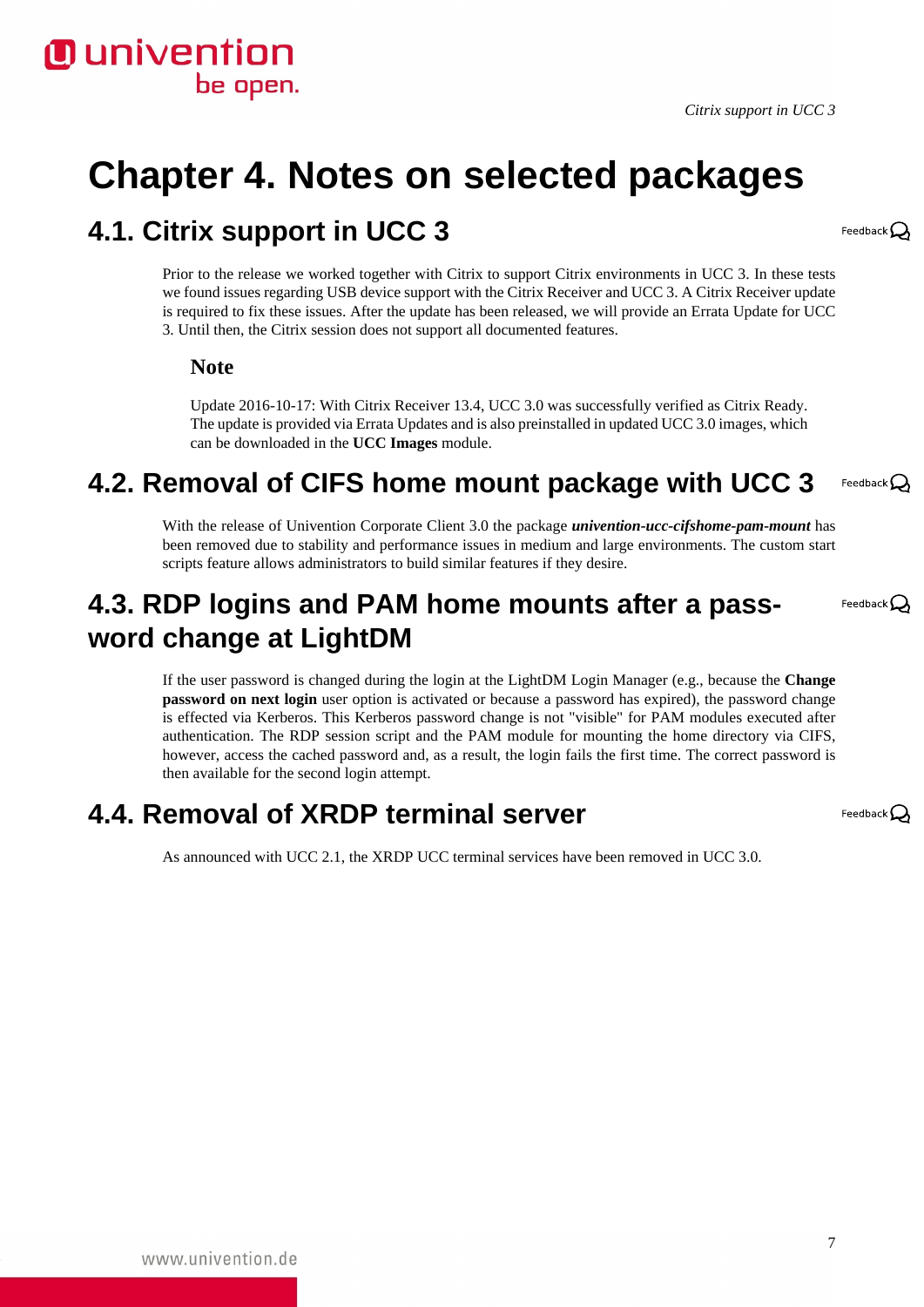

# <span id="page-6-0"></span>**Chapter 4. Notes on selected packages**

#### <span id="page-6-1"></span>**4.1. Citrix support in UCC 3**

Prior to the release we worked together with Citrix to support Citrix environments in UCC 3. In these tests we found issues regarding USB device support with the Citrix Receiver and UCC 3. A Citrix Receiver update is required to fix these issues. After the update has been released, we will provide an Errata Update for UCC 3. Until then, the Citrix session does not support all documented features.

#### **Note**

Update 2016-10-17: With Citrix Receiver 13.4, UCC 3.0 was successfully verified as Citrix Ready. The update is provided via Errata Updates and is also preinstalled in updated UCC 3.0 images, which can be downloaded in the **UCC Images** module.

#### <span id="page-6-2"></span>**4.2. Removal of CIFS home mount package with UCC 3** Feedback $\mathbf{Q}$

With the release of Univention Corporate Client 3.0 the package *univention-ucc-cifshome-pam-mount* has been removed due to stability and performance issues in medium and large environments. The custom start scripts feature allows administrators to build similar features if they desire.

#### <span id="page-6-3"></span>**4.3. RDP logins and PAM home mounts after a password change at LightDM**

If the user password is changed during the login at the LightDM Login Manager (e.g., because the **Change password on next login** user option is activated or because a password has expired), the password change is effected via Kerberos. This Kerberos password change is not "visible" for PAM modules executed after authentication. The RDP session script and the PAM module for mounting the home directory via CIFS, however, access the cached password and, as a result, the login fails the first time. The correct password is then available for the second login attempt.

#### <span id="page-6-4"></span>**4.4. Removal of XRDP terminal server**

As announced with UCC 2.1, the XRDP UCC terminal services have been removed in UCC 3.0.

Feedback $\mathbf{Q}$ 

Feedback  $\Omega$ 

Feedback $\mathbf{Q}$ 

7

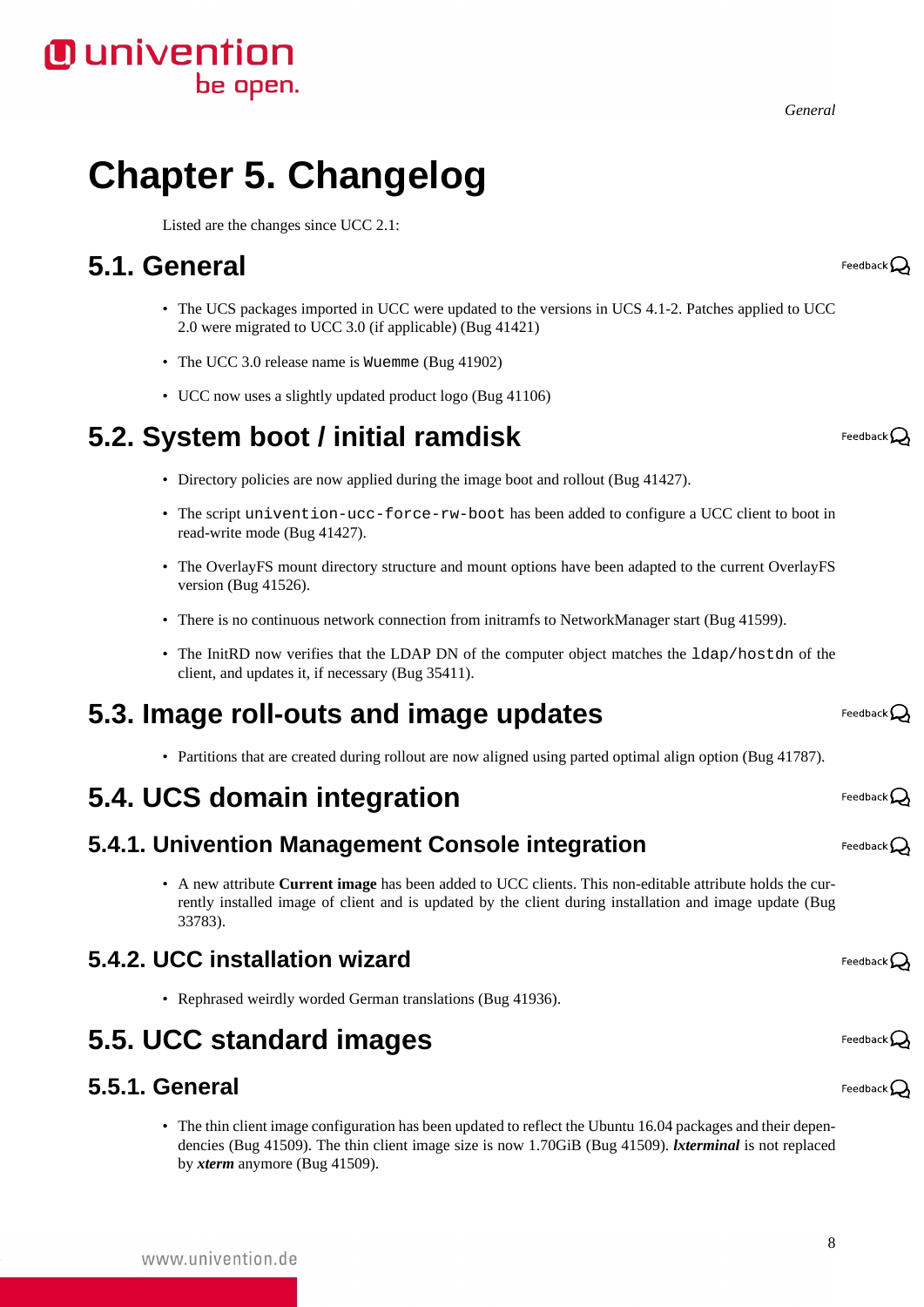*General*

# <span id="page-7-0"></span>**Chapter 5. Changelog**

Listed are the changes since UCC 2.1:

### <span id="page-7-1"></span>**5.1. General**

- The UCS packages imported in UCC were updated to the versions in UCS 4.1-2. Patches applied to UCC 2.0 were migrated to UCC 3.0 (if applicable) [\(Bug 41421](https://forge.univention.org/bugzilla/show_bug.cgi?id=41421))
- The UCC 3.0 release name is Wuemme [\(Bug 41902](https://forge.univention.org/bugzilla/show_bug.cgi?id=41902))
- UCC now uses a slightly updated product logo [\(Bug 41106\)](https://forge.univention.org/bugzilla/show_bug.cgi?id=41106)

### <span id="page-7-2"></span>**5.2. System boot / initial ramdisk**

- Directory policies are now applied during the image boot and rollout [\(Bug 41427\)](https://forge.univention.org/bugzilla/show_bug.cgi?id=41427).
- The script univention-ucc-force-rw-boot has been added to configure a UCC client to boot in read-write mode [\(Bug 41427\)](https://forge.univention.org/bugzilla/show_bug.cgi?id=41427).
- The OverlayFS mount directory structure and mount options have been adapted to the current OverlayFS version ([Bug 41526](https://forge.univention.org/bugzilla/show_bug.cgi?id=41526)).
- There is no continuous network connection from initramfs to NetworkManager start [\(Bug 41599](https://forge.univention.org/bugzilla/show_bug.cgi?id=41599)).
- The InitRD now verifies that the LDAP DN of the computer object matches the 1dap/hostdn of the client, and updates it, if necessary ([Bug 35411\)](https://forge.univention.org/bugzilla/show_bug.cgi?id=35411).

#### <span id="page-7-3"></span>**5.3. Image roll-outs and image updates**

• Partitions that are created during rollout are now aligned using parted optimal align option ([Bug 41787](https://forge.univention.org/bugzilla/show_bug.cgi?id=41787)).

### <span id="page-7-4"></span>**5.4. UCS domain integration**

#### <span id="page-7-5"></span>**5.4.1. Univention Management Console integration**

• A new attribute **Current image** has been added to UCC clients. This non-editable attribute holds the currently installed image of client and is updated by the client during installation and image update ([Bug](https://forge.univention.org/bugzilla/show_bug.cgi?id=33783) [33783\)](https://forge.univention.org/bugzilla/show_bug.cgi?id=33783).

#### <span id="page-7-6"></span>**5.4.2. UCC installation wizard**

• Rephrased weirdly worded German translations ([Bug 41936\)](https://forge.univention.org/bugzilla/show_bug.cgi?id=41936).

#### <span id="page-7-7"></span>**5.5. UCC standard images**

#### <span id="page-7-8"></span>**5.5.1. General**

• The thin client image configuration has been updated to reflect the Ubuntu 16.04 packages and their dependencies ([Bug 41509](https://forge.univention.org/bugzilla/show_bug.cgi?id=41509)). The thin client image size is now 1.70GiB ([Bug 41509](https://forge.univention.org/bugzilla/show_bug.cgi?id=41509)). *lxterminal* is not replaced by *xterm* anymore [\(Bug 41509\)](https://forge.univention.org/bugzilla/show_bug.cgi?id=41509).

Feedback  $\Omega$ 

Feedback $\Omega$ 

Feedback $\Omega$ 

Feedback $\mathbf{\mathcal{O}}$ 

Feedback $\Omega$ 

Feedback $\bigcirc$ 

Feedback $\mathcal{\mathcal{L}}$ 

Feedback $\Omega$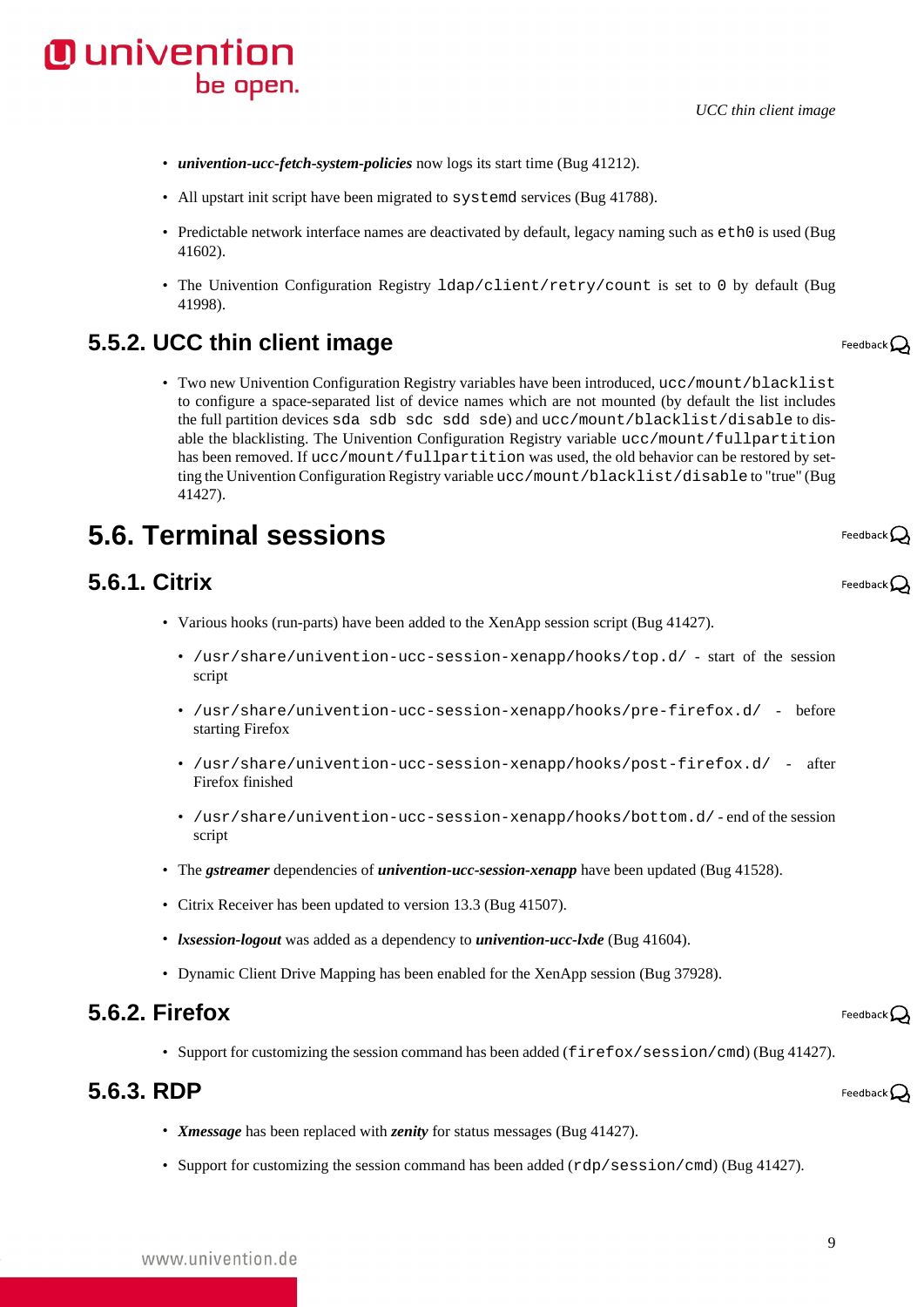*UCC thin client image*

- *univention-ucc-fetch-system-policies* now logs its start time [\(Bug 41212\)](https://forge.univention.org/bugzilla/show_bug.cgi?id=41212).
- All upstart init script have been migrated to systemd services ([Bug 41788](https://forge.univention.org/bugzilla/show_bug.cgi?id=41788)).
- Predictable network interface names are deactivated by default, legacy naming such as  $e$ th0 is used ([Bug](https://forge.univention.org/bugzilla/show_bug.cgi?id=41602) [41602\)](https://forge.univention.org/bugzilla/show_bug.cgi?id=41602).
- The Univention Configuration Registry ldap/client/retry/count is set to 0 by default ([Bug](https://forge.univention.org/bugzilla/show_bug.cgi?id=41998) [41998\)](https://forge.univention.org/bugzilla/show_bug.cgi?id=41998).

#### <span id="page-8-0"></span>**5.5.2. UCC thin client image**

• Two new Univention Configuration Registry variables have been introduced, ucc/mount/blacklist to configure a space-separated list of device names which are not mounted (by default the list includes the full partition devices sda sdb sdc sdd sde) and ucc/mount/blacklist/disable to disable the blacklisting. The Univention Configuration Registry variable ucc/mount/fullpartition has been removed. If ucc/mount/fullpartition was used, the old behavior can be restored by setting the Univention Configuration Registry variable ucc/mount/blacklist/disable to "true" ([Bug](https://forge.univention.org/bugzilla/show_bug.cgi?id=41427) [41427\)](https://forge.univention.org/bugzilla/show_bug.cgi?id=41427).

## <span id="page-8-1"></span>**5.6. Terminal sessions**

#### <span id="page-8-2"></span>**5.6.1. Citrix**

- Various hooks (run-parts) have been added to the XenApp session script [\(Bug 41427\)](https://forge.univention.org/bugzilla/show_bug.cgi?id=41427).
	- /usr/share/univention-ucc-session-xenapp/hooks/top.d/ start of the session script
	- /usr/share/univention-ucc-session-xenapp/hooks/pre-firefox.d/ before starting Firefox
	- /usr/share/univention-ucc-session-xenapp/hooks/post-firefox.d/ after Firefox finished
	- /usr/share/univention-ucc-session-xenapp/hooks/bottom.d/ end of the session script
- The *gstreamer* dependencies of *univention-ucc-session-xenapp* have been updated ([Bug 41528\)](https://forge.univention.org/bugzilla/show_bug.cgi?id=41528).
- Citrix Receiver has been updated to version 13.3 [\(Bug 41507\)](https://forge.univention.org/bugzilla/show_bug.cgi?id=41507).
- *lxsession-logout* was added as a dependency to *univention-ucc-lxde* [\(Bug 41604](https://forge.univention.org/bugzilla/show_bug.cgi?id=41604)).
- Dynamic Client Drive Mapping has been enabled for the XenApp session [\(Bug 37928\)](https://forge.univention.org/bugzilla/show_bug.cgi?id=37928).

#### <span id="page-8-3"></span>**5.6.2. Firefox**

• Support for customizing the session command has been added (firefox/session/cmd) ([Bug 41427\)](https://forge.univention.org/bugzilla/show_bug.cgi?id=41427).

#### <span id="page-8-4"></span>**5.6.3. RDP**

www.univention.de

- *Xmessage* has been replaced with *zenity* for status messages ([Bug 41427\)](https://forge.univention.org/bugzilla/show_bug.cgi?id=41427).
- Support for customizing the session command has been added (rdp/session/cmd) ([Bug 41427\)](https://forge.univention.org/bugzilla/show_bug.cgi?id=41427).

Feedback $\Omega$ 

Feedback  $\Omega$ 

Feedback $\mathcal Q$ 

Feedback $\Omega$ 

Feedback $\Omega$ 



9